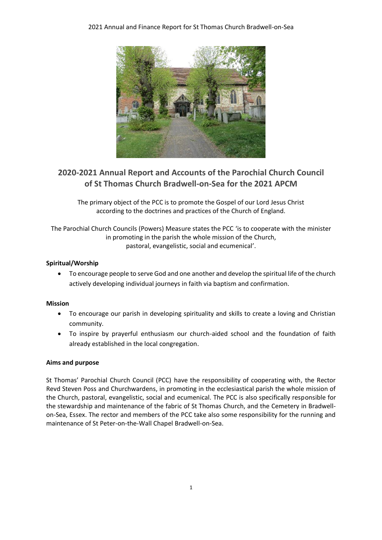

# **2020-2021 Annual Report and Accounts of the Parochial Church Council of St Thomas Church Bradwell-on-Sea for the 2021 APCM**

The primary object of the PCC is to promote the Gospel of our Lord Jesus Christ according to the doctrines and practices of the Church of England.

The Parochial Church Councils (Powers) Measure states the PCC 'is to cooperate with the minister in promoting in the parish the whole mission of the Church, pastoral, evangelistic, social and ecumenical'.

# **Spiritual/Worship**

• To encourage people to serve God and one another and develop the spiritual life of the church actively developing individual journeys in faith via baptism and confirmation.

## **Mission**

- To encourage our parish in developing spirituality and skills to create a loving and Christian community.
- To inspire by prayerful enthusiasm our church-aided school and the foundation of faith already established in the local congregation.

## **Aims and purpose**

St Thomas' Parochial Church Council (PCC) have the responsibility of cooperating with, the Rector Revd Steven Poss and Churchwardens, in promoting in the ecclesiastical parish the whole mission of the Church, pastoral, evangelistic, social and ecumenical. The PCC is also specifically responsible for the stewardship and maintenance of the fabric of St Thomas Church, and the Cemetery in Bradwellon-Sea, Essex. The rector and members of the PCC take also some responsibility for the running and maintenance of St Peter-on-the-Wall Chapel Bradwell-on-Sea.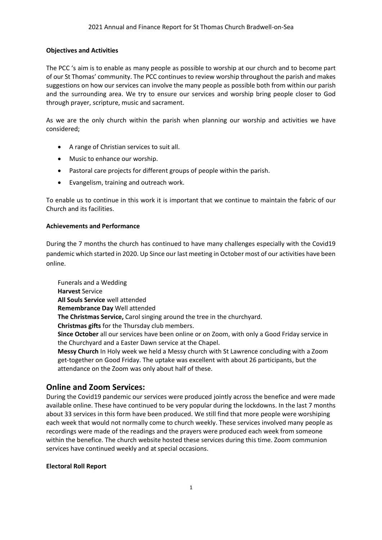# **Objectives and Activities**

The PCC 's aim is to enable as many people as possible to worship at our church and to become part of our St Thomas' community. The PCC continues to review worship throughout the parish and makes suggestions on how our services can involve the many people as possible both from within our parish and the surrounding area. We try to ensure our services and worship bring people closer to God through prayer, scripture, music and sacrament.

As we are the only church within the parish when planning our worship and activities we have considered;

- A range of Christian services to suit all.
- Music to enhance our worship.
- Pastoral care projects for different groups of people within the parish.
- Evangelism, training and outreach work.

To enable us to continue in this work it is important that we continue to maintain the fabric of our Church and its facilities.

## **Achievements and Performance**

During the 7 months the church has continued to have many challenges especially with the Covid19 pandemic which started in 2020. Up Since our last meeting in October most of our activities have been online.

Funerals and a Wedding **Harvest** Service **All Souls Service** well attended **Remembrance Day** Well attended **The Christmas Service,** Carol singing around the tree in the churchyard. **Christmas gifts** for the Thursday club members. **Since October** all our services have been online or on Zoom, with only a Good Friday service in the Churchyard and a Easter Dawn service at the Chapel. **Messy Church** In Holy week we held a Messy church with St Lawrence concluding with a Zoom get-together on Good Friday. The uptake was excellent with about 26 participants, but the attendance on the Zoom was only about half of these.

# **Online and Zoom Services:**

During the Covid19 pandemic our services were produced jointly across the benefice and were made available online. These have continued to be very popular during the lockdowns. In the last 7 months about 33 services in this form have been produced. We still find that more people were worshiping each week that would not normally come to church weekly. These services involved many people as recordings were made of the readings and the prayers were produced each week from someone within the benefice. The church website hosted these services during this time. Zoom communion services have continued weekly and at special occasions.

## **Electoral Roll Report**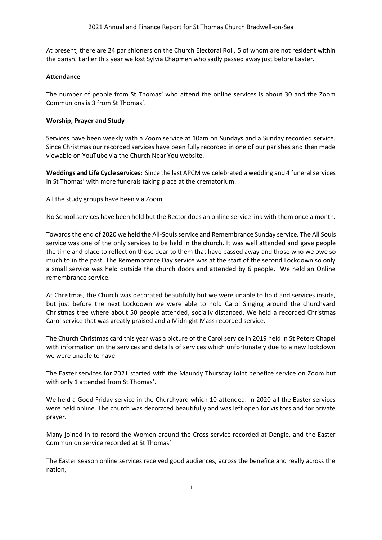At present, there are 24 parishioners on the Church Electoral Roll, 5 of whom are not resident within the parish. Earlier this year we lost Sylvia Chapmen who sadly passed away just before Easter.

# **Attendance**

The number of people from St Thomas' who attend the online services is about 30 and the Zoom Communions is 3 from St Thomas'.

# **Worship, Prayer and Study**

Services have been weekly with a Zoom service at 10am on Sundays and a Sunday recorded service. Since Christmas our recorded services have been fully recorded in one of our parishes and then made viewable on YouTube via the Church Near You website.

**Weddings and Life Cycle services:** Since the last APCM we celebrated a wedding and 4 funeralservices in St Thomas' with more funerals taking place at the crematorium.

All the study groups have been via Zoom

No School services have been held but the Rector does an online service link with them once a month.

Towards the end of 2020 we held the All-Soulsservice and Remembrance Sunday service. The All Souls service was one of the only services to be held in the church. It was well attended and gave people the time and place to reflect on those dear to them that have passed away and those who we owe so much to in the past. The Remembrance Day service was at the start of the second Lockdown so only a small service was held outside the church doors and attended by 6 people. We held an Online remembrance service.

At Christmas, the Church was decorated beautifully but we were unable to hold and services inside, but just before the next Lockdown we were able to hold Carol Singing around the churchyard Christmas tree where about 50 people attended, socially distanced. We held a recorded Christmas Carol service that was greatly praised and a Midnight Mass recorded service.

The Church Christmas card this year was a picture of the Carol service in 2019 held in St Peters Chapel with information on the services and details of services which unfortunately due to a new lockdown we were unable to have.

The Easter services for 2021 started with the Maundy Thursday Joint benefice service on Zoom but with only 1 attended from St Thomas'.

We held a Good Friday service in the Churchyard which 10 attended. In 2020 all the Easter services were held online. The church was decorated beautifully and was left open for visitors and for private prayer.

Many joined in to record the Women around the Cross service recorded at Dengie, and the Easter Communion service recorded at St Thomas'

The Easter season online services received good audiences, across the benefice and really across the nation,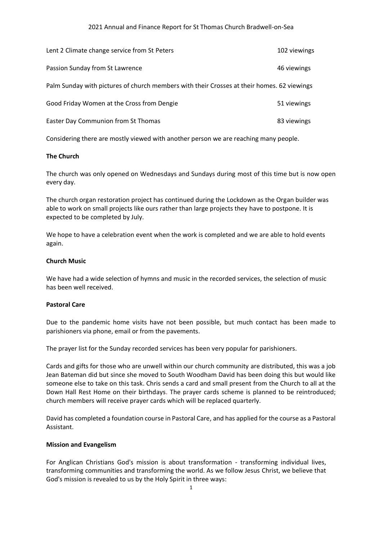#### 2021 Annual and Finance Report for St Thomas Church Bradwell-on-Sea

| Lent 2 Climate change service from St Peters                                               | 102 viewings |
|--------------------------------------------------------------------------------------------|--------------|
| Passion Sunday from St Lawrence                                                            | 46 viewings  |
| Palm Sunday with pictures of church members with their Crosses at their homes. 62 viewings |              |
| Good Friday Women at the Cross from Dengie                                                 | 51 viewings  |
| Easter Day Communion from St Thomas                                                        | 83 viewings  |

Considering there are mostly viewed with another person we are reaching many people.

#### **The Church**

The church was only opened on Wednesdays and Sundays during most of this time but is now open every day.

The church organ restoration project has continued during the Lockdown as the Organ builder was able to work on small projects like ours rather than large projects they have to postpone. It is expected to be completed by July.

We hope to have a celebration event when the work is completed and we are able to hold events again.

#### **Church Music**

We have had a wide selection of hymns and music in the recorded services, the selection of music has been well received.

#### **Pastoral Care**

Due to the pandemic home visits have not been possible, but much contact has been made to parishioners via phone, email or from the pavements.

The prayer list for the Sunday recorded services has been very popular for parishioners.

Cards and gifts for those who are unwell within our church community are distributed, this was a job Jean Bateman did but since she moved to South Woodham David has been doing this but would like someone else to take on this task. Chris sends a card and small present from the Church to all at the Down Hall Rest Home on their birthdays. The prayer cards scheme is planned to be reintroduced; church members will receive prayer cards which will be replaced quarterly.

David has completed a foundation course in Pastoral Care, and has applied for the course as a Pastoral Assistant.

#### **Mission and Evangelism**

For Anglican Christians God's mission is about transformation - transforming individual lives, transforming communities and transforming the world. As we follow Jesus Christ, we believe that God's mission is revealed to us by the Holy Spirit in three ways: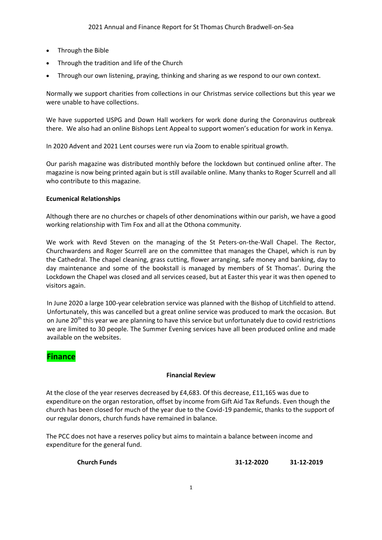- Through the Bible
- Through the tradition and life of the Church
- Through our own listening, praying, thinking and sharing as we respond to our own context.

Normally we support charities from collections in our Christmas service collections but this year we were unable to have collections.

We have supported USPG and Down Hall workers for work done during the Coronavirus outbreak there. We also had an online Bishops Lent Appeal to support women's education for work in Kenya.

In 2020 Advent and 2021 Lent courses were run via Zoom to enable spiritual growth.

Our parish magazine was distributed monthly before the lockdown but continued online after. The magazine is now being printed again but is still available online. Many thanks to Roger Scurrell and all who contribute to this magazine.

# **Ecumenical Relationships**

Although there are no churches or chapels of other denominations within our parish, we have a good working relationship with Tim Fox and all at the Othona community.

We work with Revd Steven on the managing of the St Peters-on-the-Wall Chapel. The Rector, Churchwardens and Roger Scurrell are on the committee that manages the Chapel, which is run by the Cathedral. The chapel cleaning, grass cutting, flower arranging, safe money and banking, day to day maintenance and some of the bookstall is managed by members of St Thomas'. During the Lockdown the Chapel was closed and all services ceased, but at Easter this year it was then opened to visitors again.

In June 2020 a large 100-year celebration service was planned with the Bishop of Litchfield to attend. Unfortunately, this was cancelled but a great online service was produced to mark the occasion. But on June  $20<sup>th</sup>$  this year we are planning to have this service but unfortunately due to covid restrictions we are limited to 30 people. The Summer Evening services have all been produced online and made available on the websites.

# **Finance**

## **Financial Review**

At the close of the year reserves decreased by £4,683. Of this decrease, £11,165 was due to expenditure on the organ restoration, offset by income from Gift Aid Tax Refunds. Even though the church has been closed for much of the year due to the Covid-19 pandemic, thanks to the support of our regular donors, church funds have remained in balance.

The PCC does not have a reserves policy but aims to maintain a balance between income and expenditure for the general fund.

**Church Funds 31-12-2020 31-12-2019**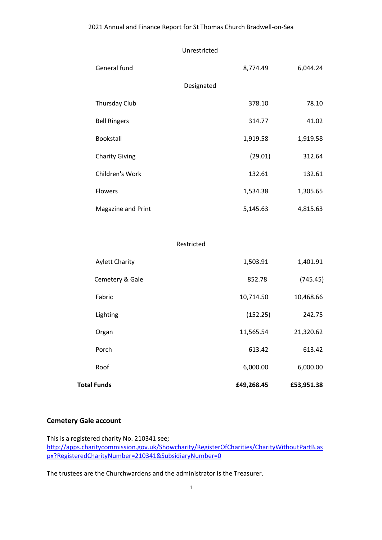Unrestricted

| General fund          | 8,774.49   | 6,044.24  |
|-----------------------|------------|-----------|
|                       | Designated |           |
| Thursday Club         | 378.10     | 78.10     |
| <b>Bell Ringers</b>   | 314.77     | 41.02     |
| <b>Bookstall</b>      | 1,919.58   | 1,919.58  |
| <b>Charity Giving</b> | (29.01)    | 312.64    |
| Children's Work       | 132.61     | 132.61    |
| Flowers               | 1,534.38   | 1,305.65  |
| Magazine and Print    | 5,145.63   | 4,815.63  |
|                       |            |           |
|                       | Restricted |           |
| <b>Aylett Charity</b> | 1,503.91   | 1,401.91  |
| Cemetery & Gale       | 852.78     | (745.45)  |
| Fabric                | 10,714.50  | 10,468.66 |
| Lighting              | (152.25)   | 242.75    |
| Organ                 | 11,565.54  | 21,320.62 |
| Porch                 | 613.42     | 613.42    |

Roof 6,000.00 6,000.00 6,000.00

**Total Funds £49,268.45 £53,951.38**

# **Cemetery Gale account**

This is a registered charity No. 210341 see; [http://apps.charitycommission.gov.uk/Showcharity/RegisterOfCharities/CharityWithoutPartB.as](about:blank) [px?RegisteredCharityNumber=210341&SubsidiaryNumber=0](about:blank)

The trustees are the Churchwardens and the administrator is the Treasurer.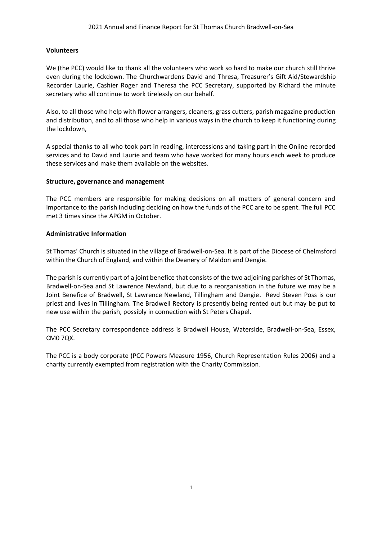# **Volunteers**

We (the PCC) would like to thank all the volunteers who work so hard to make our church still thrive even during the lockdown. The Churchwardens David and Thresa, Treasurer's Gift Aid/Stewardship Recorder Laurie, Cashier Roger and Theresa the PCC Secretary, supported by Richard the minute secretary who all continue to work tirelessly on our behalf.

Also, to all those who help with flower arrangers, cleaners, grass cutters, parish magazine production and distribution, and to all those who help in various ways in the church to keep it functioning during the lockdown,

A special thanks to all who took part in reading, intercessions and taking part in the Online recorded services and to David and Laurie and team who have worked for many hours each week to produce these services and make them available on the websites.

## **Structure, governance and management**

The PCC members are responsible for making decisions on all matters of general concern and importance to the parish including deciding on how the funds of the PCC are to be spent. The full PCC met 3 times since the APGM in October.

## **Administrative Information**

St Thomas' Church is situated in the village of Bradwell-on-Sea. It is part of the Diocese of Chelmsford within the Church of England, and within the Deanery of Maldon and Dengie.

The parish is currently part of a joint benefice that consists of the two adjoining parishes of St Thomas, Bradwell-on-Sea and St Lawrence Newland, but due to a reorganisation in the future we may be a Joint Benefice of Bradwell, St Lawrence Newland, Tillingham and Dengie. Revd Steven Poss is our priest and lives in Tillingham. The Bradwell Rectory is presently being rented out but may be put to new use within the parish, possibly in connection with St Peters Chapel.

The PCC Secretary correspondence address is Bradwell House, Waterside, Bradwell-on-Sea, Essex, CM0 7QX.

The PCC is a body corporate (PCC Powers Measure 1956, Church Representation Rules 2006) and a charity currently exempted from registration with the Charity Commission.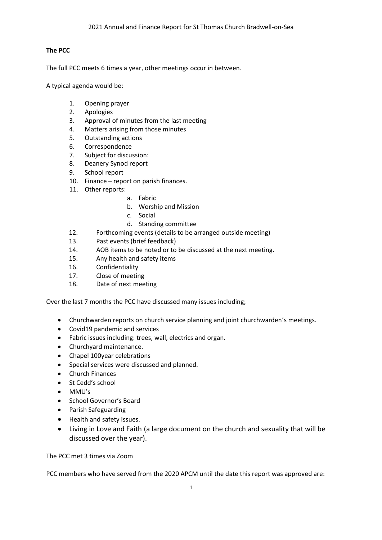# **The PCC**

The full PCC meets 6 times a year, other meetings occur in between.

A typical agenda would be:

- 1. Opening prayer
- 2. Apologies
- 3. Approval of minutes from the last meeting
- 4. Matters arising from those minutes
- 5. Outstanding actions
- 6. Correspondence
- 7. Subject for discussion:
- 8. Deanery Synod report
- 9. School report
- 10. Finance report on parish finances.
- 11. Other reports:
	- a. Fabric
	- b. Worship and Mission
	- c. Social
	- d. Standing committee
- 12. Forthcoming events (details to be arranged outside meeting)
- 13. Past events (brief feedback)
- 14. AOB items to be noted or to be discussed at the next meeting.
- 15. Any health and safety items
- 16. Confidentiality
- 17. Close of meeting
- 18. Date of next meeting

Over the last 7 months the PCC have discussed many issues including;

- Churchwarden reports on church service planning and joint churchwarden's meetings.
- Covid19 pandemic and services
- Fabric issues including: trees, wall, electrics and organ.
- Churchyard maintenance.
- Chapel 100year celebrations
- Special services were discussed and planned.
- Church Finances
- St Cedd's school
- MMU's
- School Governor's Board
- Parish Safeguarding
- Health and safety issues.
- Living in Love and Faith (a large document on the church and sexuality that will be discussed over the year).

The PCC met 3 times via Zoom

PCC members who have served from the 2020 APCM until the date this report was approved are: